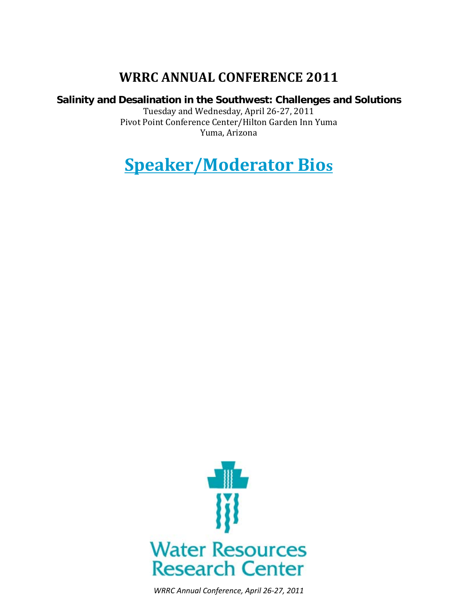# **WRRC ANNUAL CONFERENCE 2011**

### **Salinity and Desalination in the Southwest: Challenges and Solutions**

Tuesday and Wednesday, April 26-27, 2011 Pivot Point Conference Center/Hilton Garden Inn Yuma Yuma, Arizona

**Speaker/Moderator Bios**



*WRRC Annual Conference, April 26-27, 2011*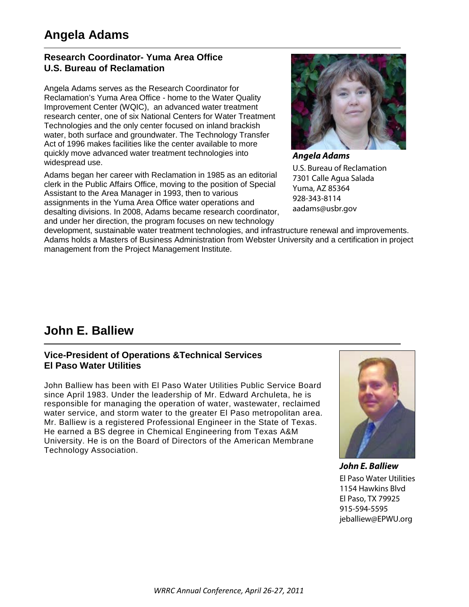### **Research Coordinator- Yuma Area Office U.S. Bureau of Reclamation**

Angela Adams serves as the Research Coordinator for Reclamation's Yuma Area Office - home to the Water Quality Improvement Center (WQIC), an advanced water treatment research center, one of six National Centers for Water Treatment Technologies and the only center focused on inland brackish water, both surface and groundwater. The Technology Transfer Act of 1996 makes facilities like the center available to more quickly move advanced water treatment technologies into widespread use.

Adams began her career with Reclamation in 1985 as an editorial clerk in the Public Affairs Office, moving to the position of Special Assistant to the Area Manager in 1993, then to various assignments in the Yuma Area Office water operations and desalting divisions. In 2008, Adams became research coordinator, and under her direction, the program focuses on new technology



U.S. Bureau of Reclamation 7301 Calle Agua Salada Yuma, AZ 85364 928-343-8114 aadams@usbr.gov

development, sustainable water treatment technologies, and infrastructure renewal and improvements. Adams holds a Masters of Business Administration from Webster University and a certification in project management from the Project Management Institute.

# **John E. Balliew**

### **Vice-President of Operations &Technical Services El Paso Water Utilities**

John Balliew has been with El Paso Water Utilities Public Service Board since April 1983. Under the leadership of Mr. Edward Archuleta, he is responsible for managing the operation of water, wastewater, reclaimed water service, and storm water to the greater El Paso metropolitan area. Mr. Balliew is a registered Professional Engineer in the State of Texas. He earned a BS degree in Chemical Engineering from Texas A&M University. He is on the Board of Directors of the American Membrane Technology Association.



*John E. Balliew* El Paso Water Utilities 1154 Hawkins Blvd El Paso, TX 79925 915-594-5595 jeballiew@EPWU.org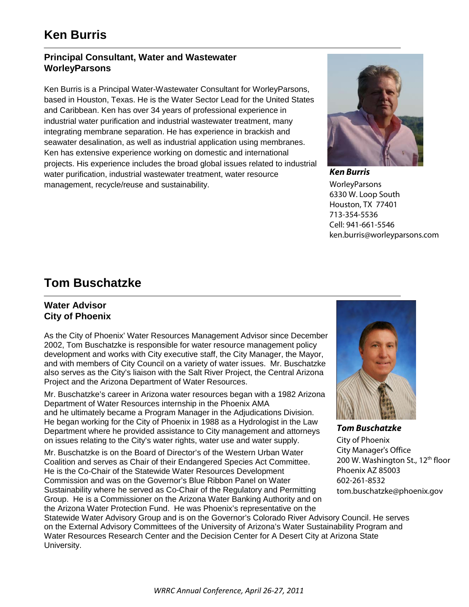### **Principal Consultant, Water and Wastewater WorleyParsons**

Ken Burris is a Principal Water-Wastewater Consultant for WorleyParsons, based in Houston, Texas. He is the Water Sector Lead for the United States and Caribbean. Ken has over 34 years of professional experience in industrial water purification and industrial wastewater treatment, many integrating membrane separation. He has experience in brackish and seawater desalination, as well as industrial application using membranes. Ken has extensive experience working on domestic and international projects. His experience includes the broad global issues related to industrial water purification, industrial wastewater treatment, water resource management, recycle/reuse and sustainability.



*Ken Burris* WorleyParsons 6330 W. Loop South Houston, TX 77401 713-354-5536 Cell: 941-661-5546 ken.burris@worleyparsons.com

## **Tom Buschatzke**

### **Water Advisor City of Phoenix**

As the City of Phoenix' Water Resources Management Advisor since December 2002, Tom Buschatzke is responsible for water resource management policy development and works with City executive staff, the City Manager, the Mayor, and with members of City Council on a variety of water issues. Mr. Buschatzke also serves as the City's liaison with the Salt River Project, the Central Arizona Project and the Arizona Department of Water Resources.

Mr. Buschatzke's career in Arizona water resources began with a 1982 Arizona Department of Water Resources internship in the Phoenix AMA and he ultimately became a Program Manager in the Adjudications Division. He began working for the City of Phoenix in 1988 as a Hydrologist in the Law Department where he provided assistance to City management and attorneys on issues relating to the City's water rights, water use and water supply.

Mr. Buschatzke is on the Board of Director's of the Western Urban Water Coalition and serves as Chair of their Endangered Species Act Committee. He is the Co-Chair of the Statewide Water Resources Development Commission and was on the Governor's Blue Ribbon Panel on Water Sustainability where he served as Co-Chair of the Regulatory and Permitting Group. He is a Commissioner on the Arizona Water Banking Authority and on the Arizona Water Protection Fund. He was Phoenix's representative on the



*Tom Buschatzke* City of Phoenix City Manager's Office 200 W. Washington St., 12<sup>th</sup> floor Phoenix AZ 85003 602-261-8532 tom.buschatzke@phoenix.gov

Statewide Water Advisory Group and is on the Governor's Colorado River Advisory Council. He serves on the External Advisory Committees of the University of Arizona's Water Sustainability Program and Water Resources Research Center and the Decision Center for A Desert City at Arizona State University.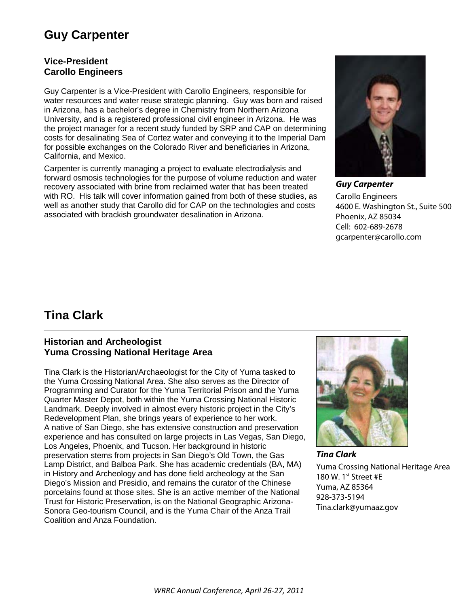# **Guy Carpenter**

### **Vice-President Carollo Engineers**

Guy Carpenter is a Vice-President with Carollo Engineers, responsible for water resources and water reuse strategic planning. Guy was born and raised in Arizona, has a bachelor's degree in Chemistry from Northern Arizona University, and is a registered professional civil engineer in Arizona. He was the project manager for a recent study funded by SRP and CAP on determining costs for desalinating Sea of Cortez water and conveying it to the Imperial Dam for possible exchanges on the Colorado River and beneficiaries in Arizona, California, and Mexico.

Carpenter is currently managing a project to evaluate electrodialysis and forward osmosis technologies for the purpose of volume reduction and water recovery associated with brine from reclaimed water that has been treated with RO. His talk will cover information gained from both of these studies, as well as another study that Carollo did for CAP on the technologies and costs associated with brackish groundwater desalination in Arizona.



*Guy Carpenter*  Carollo Engineers 4600 E. Washington St., Suite 500 Phoenix, AZ 85034 Cell: 602-689-2678 gcarpenter@carollo.com

## **Tina Clark**

### **Historian and Archeologist Yuma Crossing National Heritage Area**

Tina Clark is the Historian/Archaeologist for the City of Yuma tasked to the Yuma Crossing National Area. She also serves as the Director of Programming and Curator for the Yuma Territorial Prison and the Yuma Quarter Master Depot, both within the Yuma Crossing National Historic Landmark. Deeply involved in almost every historic project in the City's Redevelopment Plan, she brings years of experience to her work. A native of San Diego, she has extensive construction and preservation experience and has consulted on large projects in Las Vegas, San Diego, Los Angeles, Phoenix, and Tucson. Her background in historic preservation stems from projects in San Diego's Old Town, the Gas Lamp District, and Balboa Park. She has academic credentials (BA, MA) in History and Archeology and has done field archeology at the San Diego's Mission and Presidio, and remains the curator of the Chinese porcelains found at those sites. She is an active member of the National Trust for Historic Preservation, is on the National Geographic Arizona-Sonora Geo-tourism Council, and is the Yuma Chair of the Anza Trail Coalition and Anza Foundation.



*Tina Clark*  Yuma Crossing National Heritage Area 180 W. 1<sup>st</sup> Street #E Yuma, AZ 85364 928-373-5194 Tina.clark@yumaaz.gov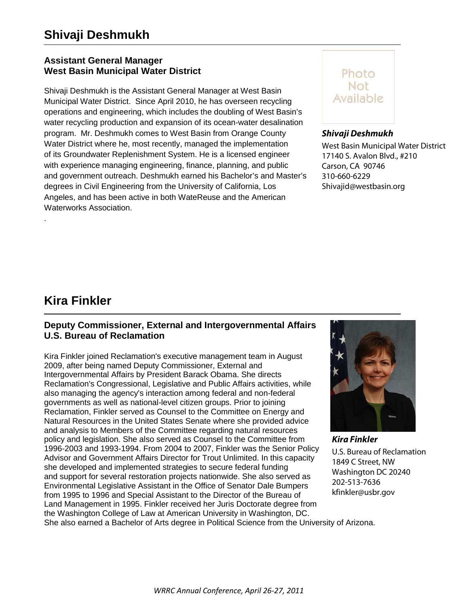# **Shivaji Deshmukh**

### **Assistant General Manager West Basin Municipal Water District**

Shivaji Deshmukh is the Assistant General Manager at West Basin Municipal Water District. Since April 2010, he has overseen recycling operations and engineering, which includes the doubling of West Basin's water recycling production and expansion of its ocean-water desalination program. Mr. Deshmukh comes to West Basin from Orange County Water District where he, most recently, managed the implementation of its Groundwater Replenishment System. He is a licensed engineer with experience managing engineering, finance, planning, and public and government outreach. Deshmukh earned his Bachelor's and Master's degrees in Civil Engineering from the University of California, Los Angeles, and has been active in both WateReuse and the American Waterworks Association.



### *Shivaji Deshmukh*

West Basin Municipal Water District 17140 S. Avalon Blvd., #210 Carson, CA 90746 310-660-6229 Shivajid@westbasin.org

## **Kira Finkler**

.

### **Deputy Commissioner, External and Intergovernmental Affairs U.S. Bureau of Reclamation**

Kira Finkler joined Reclamation's executive management team in August 2009, after being named Deputy Commissioner, External and Intergovernmental Affairs by President Barack Obama. She directs Reclamation's Congressional, Legislative and Public Affairs activities, while also managing the agency's interaction among federal and non-federal governments as well as national-level citizen groups. Prior to joining Reclamation, Finkler served as Counsel to the Committee on Energy and Natural Resources in the United States Senate where she provided advice and analysis to Members of the Committee regarding natural resources policy and legislation. She also served as Counsel to the Committee from 1996-2003 and 1993-1994. From 2004 to 2007, Finkler was the Senior Policy Advisor and Government Affairs Director for Trout Unlimited. In this capacity she developed and implemented strategies to secure federal funding and support for several restoration projects nationwide. She also served as Environmental Legislative Assistant in the Office of Senator Dale Bumpers from 1995 to 1996 and Special Assistant to the Director of the Bureau of Land Management in 1995. Finkler received her Juris Doctorate degree from the Washington College of Law at American University in Washington, DC.



U.S. Bureau of Reclamation 1849 C Street, NW Washington DC 20240 202-513-7636 kfinkler@usbr.gov

She also earned a Bachelor of Arts degree in Political Science from the University of Arizona.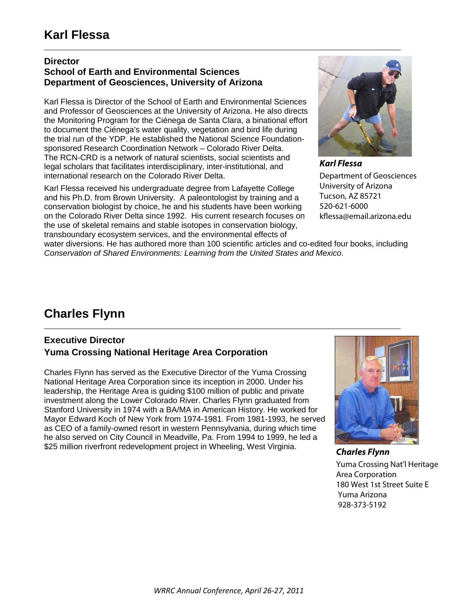### **Director**

### **School of Earth and Environmental Sciences Department of Geosciences, University of Arizona**

Karl Flessa is Director of the School of Earth and Environmental Sciences and Professor of Geosciences at the University of Arizona. He also directs the Monitoring Program for the Ciénega de Santa Clara, a binational effort to document the Ciénega's water quality, vegetation and bird life during the trial run of the YDP. He established the National Science Foundationsponsored Research Coordination Network – Colorado River Delta. The RCN-CRD is a network of natural scientists, social scientists and legal scholars that facilitates interdisciplinary, inter-institutional, and international research on the Colorado River Delta.

Karl Flessa received his undergraduate degree from Lafayette College and his Ph.D. from Brown University. A paleontologist by training and a conservation biologist by choice, he and his students have been working on the Colorado River Delta since 1992. His current research focuses on the use of skeletal remains and stable isotopes in conservation biology, transboundary ecosystem services, and the environmental effects of



*Karl Flessa* Department of Geosciences University of Arizona Tucson, AZ 85721 520-621-6000 kflessa@email.arizona.edu

water diversions. He has authored more than 100 scientific articles and co-edited four books, including *Conservation of Shared Environments: Learning from the United States and Mexico*.

# **Charles Flynn**

### **Executive Director Yuma Crossing National Heritage Area Corporation**

Charles Flynn has served as the Executive Director of the Yuma Crossing National Heritage Area Corporation since its inception in 2000. Under his leadership, the Heritage Area is guiding \$100 million of public and private investment along the Lower Colorado River. Charles Flynn graduated from Stanford University in 1974 with a BA/MA in American History. He worked for Mayor Edward Koch of New York from 1974-1981. From 1981-1993, he served as CEO of a family-owned resort in western Pennsylvania, during which time he also served on City Council in Meadville, Pa. From 1994 to 1999, he led a \$25 million riverfront redevelopment project in Wheeling, West Virginia.



*Charles Flynn* Yuma Crossing Nat'l Heritage Area Corporation 180 West 1st Street Suite E Yuma Arizona 928-373-5192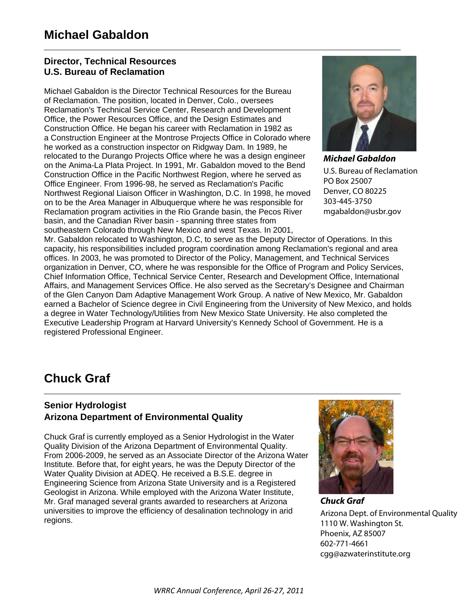### **Director, Technical Resources U.S. Bureau of Reclamation**

Michael Gabaldon is the Director Technical Resources for the Bureau of Reclamation. The position, located in Denver, Colo., oversees Reclamation's Technical Service Center, Research and Development Office, the Power Resources Office, and the Design Estimates and Construction Office. He began his career with Reclamation in 1982 as a Construction Engineer at the Montrose Projects Office in Colorado where he worked as a construction inspector on Ridgway Dam. In 1989, he relocated to the Durango Projects Office where he was a design engineer on the Anima-La Plata Project. In 1991, Mr. Gabaldon moved to the Bend Construction Office in the Pacific Northwest Region, where he served as Office Engineer. From 1996-98, he served as Reclamation's Pacific Northwest Regional Liaison Officer in Washington, D.C. In 1998, he moved on to be the Area Manager in Albuquerque where he was responsible for Reclamation program activities in the Rio Grande basin, the Pecos River basin, and the Canadian River basin - spanning three states from southeastern Colorado through New Mexico and west Texas. In 2001,



*Michael Gabaldon* U.S. Bureau of Reclamation PO Box 25007 Denver, CO 80225 303-445-3750 mgabaldon@usbr.gov

Mr. Gabaldon relocated to Washington, D.C, to serve as the Deputy Director of Operations. In this capacity, his responsibilities included program coordination among Reclamation's regional and area offices. In 2003, he was promoted to Director of the Policy, Management, and Technical Services organization in Denver, CO, where he was responsible for the Office of Program and Policy Services, Chief Information Office, Technical Service Center, Research and Development Office, International Affairs, and Management Services Office. He also served as the Secretary's Designee and Chairman of the Glen Canyon Dam Adaptive Management Work Group. A native of New Mexico, Mr. Gabaldon earned a Bachelor of Science degree in Civil Engineering from the University of New Mexico, and holds a degree in Water Technology/Utilities from New Mexico State University. He also completed the Executive Leadership Program at Harvard University's Kennedy School of Government. He is a registered Professional Engineer.

# **Chuck Graf**

### **Senior Hydrologist Arizona Department of Environmental Quality**

Chuck Graf is currently employed as a Senior Hydrologist in the Water Quality Division of the Arizona Department of Environmental Quality. From 2006-2009, he served as an Associate Director of the Arizona Water Institute. Before that, for eight years, he was the Deputy Director of the Water Quality Division at ADEQ. He received a B.S.E. degree in Engineering Science from Arizona State University and is a Registered Geologist in Arizona. While employed with the Arizona Water Institute, Mr. Graf managed several grants awarded to researchers at Arizona universities to improve the efficiency of desalination technology in arid regions.



*Chuck Graf* Arizona Dept. of Environmental Quality 1110 W. Washington St. Phoenix, AZ 85007 602-771-4661 cgg@azwaterinstitute.org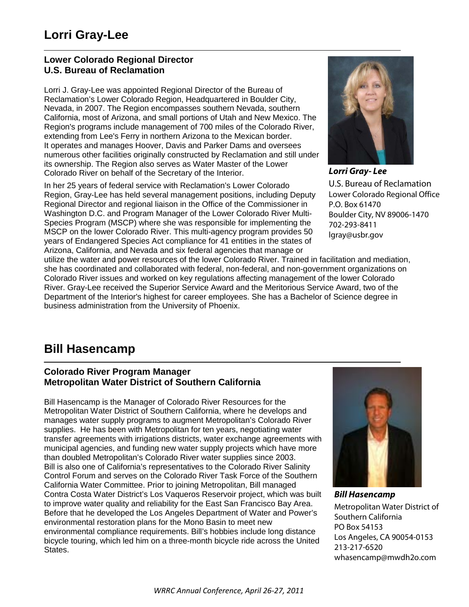### **Lower Colorado Regional Director U.S. Bureau of Reclamation**

Lorri J. Gray-Lee was appointed Regional Director of the Bureau of Reclamation's Lower Colorado Region, Headquartered in Boulder City, Nevada, in 2007. The Region encompasses southern Nevada, southern California, most of Arizona, and small portions of Utah and New Mexico. The Region's programs include management of 700 miles of the Colorado River, extending from Lee's Ferry in northern Arizona to the Mexican border. It operates and manages Hoover, Davis and Parker Dams and oversees numerous other facilities originally constructed by Reclamation and still under its ownership. The Region also serves as Water Master of the Lower Colorado River on behalf of the Secretary of the Interior.

In her 25 years of federal service with Reclamation's Lower Colorado Region, Gray-Lee has held several management positions, including Deputy Regional Director and regional liaison in the Office of the Commissioner in Washington D.C. and Program Manager of the Lower Colorado River Multi-Species Program (MSCP) where she was responsible for implementing the MSCP on the lower Colorado River. This multi-agency program provides 50 years of Endangered Species Act compliance for 41 entities in the states of Arizona, California, and Nevada and six federal agencies that manage or



*Lorri Gray- Lee* U.S. Bureau of Reclamation Lower Colorado Regional Office P.O. Box 61470 Boulder City, NV 89006-1470 702-293-8411 lgray@usbr.gov

utilize the water and power resources of the lower Colorado River. Trained in facilitation and mediation, she has coordinated and collaborated with federal, non-federal, and non-government organizations on Colorado River issues and worked on key regulations affecting management of the lower Colorado River. Gray-Lee received the Superior Service Award and the Meritorious Service Award, two of the Department of the Interior's highest for career employees. She has a Bachelor of Science degree in business administration from the University of Phoenix.

## **Bill Hasencamp**

### **Colorado River Program Manager Metropolitan Water District of Southern California**

Bill Hasencamp is the Manager of Colorado River Resources for the Metropolitan Water District of Southern California, where he develops and manages water supply programs to augment Metropolitan's Colorado River supplies. He has been with Metropolitan for ten years, negotiating water transfer agreements with irrigations districts, water exchange agreements with municipal agencies, and funding new water supply projects which have more than doubled Metropolitan's Colorado River water supplies since 2003. Bill is also one of California's representatives to the Colorado River Salinity Control Forum and serves on the Colorado River Task Force of the Southern California Water Committee. Prior to joining Metropolitan, Bill managed Contra Costa Water District's Los Vaqueros Reservoir project, which was built to improve water quality and reliability for the East San Francisco Bay Area. Before that he developed the Los Angeles Department of Water and Power's environmental restoration plans for the Mono Basin to meet new environmental compliance requirements. Bill's hobbies include long distance bicycle touring, which led him on a three-month bicycle ride across the United States.



*Bill Hasencamp* Metropolitan Water District of Southern California PO Box 54153 Los Angeles, CA 90054-0153 213-217-6520 whasencamp@mwdh2o.com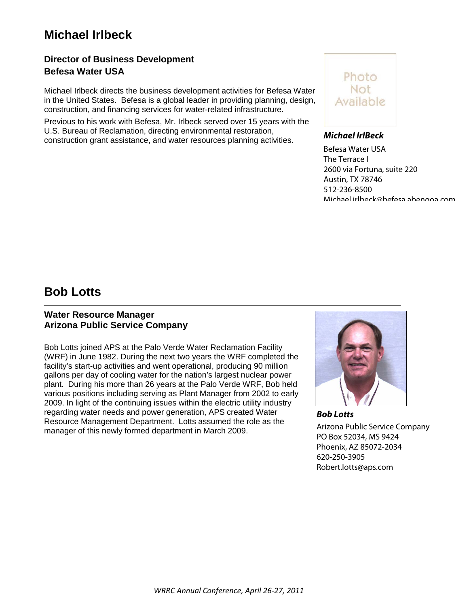### **Director of Business Development Befesa Water USA**

Michael Irlbeck directs the business development activities for Befesa Water in the United States. Befesa is a global leader in providing planning, design, construction, and financing services for water-related infrastructure.

Previous to his work with Befesa, Mr. Irlbeck served over 15 years with the U.S. Bureau of Reclamation, directing environmental restoration, construction grant assistance, and water resources planning activities.



#### *Michael IrlBeck*

Befesa Water USA The Terrace I 2600 via Fortuna, suite 220 Austin, TX 78746 512-236-8500 Michael irlbeck@befesa abengoa com

### **Bob Lotts**

### **Water Resource Manager Arizona Public Service Company**

Bob Lotts joined APS at the Palo Verde Water Reclamation Facility (WRF) in June 1982. During the next two years the WRF completed the facility's start-up activities and went operational, producing 90 million gallons per day of cooling water for the nation's largest nuclear power plant. During his more than 26 years at the Palo Verde WRF, Bob held various positions including serving as Plant Manager from 2002 to early 2009. In light of the continuing issues within the electric utility industry regarding water needs and power generation, APS created Water Resource Management Department. Lotts assumed the role as the manager of this newly formed department in March 2009.



*Bob Lotts* Arizona Public Service Company PO Box 52034, MS 9424 Phoenix, AZ 85072-2034 620-250-3905 Robert.lotts@aps.com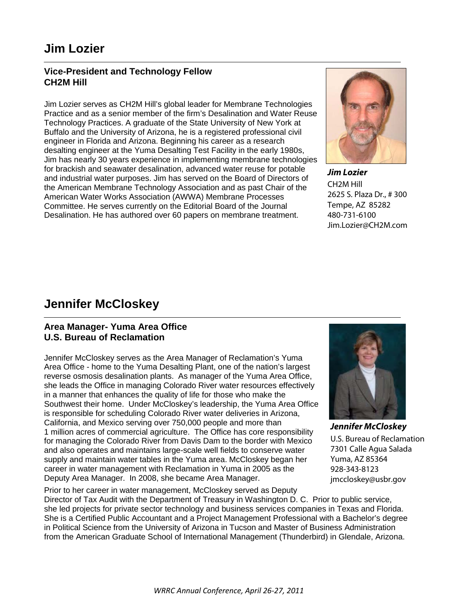## **Jim Lozier**

### **Vice-President and Technology Fellow CH2M Hill**

Jim Lozier serves as CH2M Hill's global leader for Membrane Technologies Practice and as a senior member of the firm's Desalination and Water Reuse Technology Practices. A graduate of the State University of New York at Buffalo and the University of Arizona, he is a registered professional civil engineer in Florida and Arizona. Beginning his career as a research desalting engineer at the Yuma Desalting Test Facility in the early 1980s, Jim has nearly 30 years experience in implementing membrane technologies for brackish and seawater desalination, advanced water reuse for potable and industrial water purposes. Jim has served on the Board of Directors of the American Membrane Technology Association and as past Chair of the American Water Works Association (AWWA) Membrane Processes Committee. He serves currently on the Editorial Board of the Journal Desalination. He has authored over 60 papers on membrane treatment.



*Jim Lozier* CH2M Hill 2625 S. Plaza Dr., # 300 Tempe, AZ 85282 480-731-6100 Jim.Lozier@CH2M.com

## **Jennifer McCloskey**

### **Area Manager- Yuma Area Office U.S. Bureau of Reclamation**

Jennifer McCloskey serves as the Area Manager of Reclamation's Yuma Area Office - home to the Yuma Desalting Plant, one of the nation's largest reverse osmosis desalination plants. As manager of the Yuma Area Office, she leads the Office in managing Colorado River water resources effectively in a manner that enhances the quality of life for those who make the Southwest their home. Under McCloskey's leadership, the Yuma Area Office is responsible for scheduling Colorado River water deliveries in Arizona, California, and Mexico serving over 750,000 people and more than 1 million acres of commercial agriculture. The Office has core responsibility for managing the Colorado River from Davis Dam to the border with Mexico and also operates and maintains large-scale well fields to conserve water supply and maintain water tables in the Yuma area. McCloskey began her career in water management with Reclamation in Yuma in 2005 as the Deputy Area Manager. In 2008, she became Area Manager.



*Jennifer McCloskey* U.S. Bureau of Reclamation 7301 Calle Agua Salada Yuma, AZ 85364 928-343-8123 jmccloskey@usbr.gov

Prior to her career in water management, McCloskey served as Deputy Director of Tax Audit with the Department of Treasury in Washington D. C. Prior to public service, she led projects for private sector technology and business services companies in Texas and Florida. She is a Certified Public Accountant and a Project Management Professional with a Bachelor's degree in Political Science from the University of Arizona in Tucson and Master of Business Administration from the American Graduate School of International Management (Thunderbird) in Glendale, Arizona.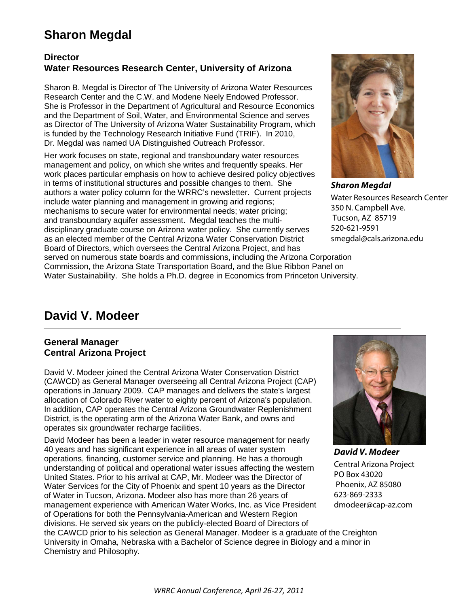### **Director Water Resources Research Center, University of Arizona**

Sharon B. Megdal is Director of The University of Arizona Water Resources Research Center and the C.W. and Modene Neely Endowed Professor. She is Professor in the Department of Agricultural and Resource Economics and the Department of Soil, Water, and Environmental Science and serves as Director of The University of Arizona Water Sustainability Program, which is funded by the Technology Research Initiative Fund (TRIF). In 2010, Dr. Megdal was named UA Distinguished Outreach Professor.

Her work focuses on state, regional and transboundary water resources management and policy, on which she writes and frequently speaks. Her work places particular emphasis on how to achieve desired policy objectives in terms of institutional structures and possible changes to them. She authors a water policy column for the WRRC's newsletter. Current projects include water planning and management in growing arid regions; mechanisms to secure water for environmental needs; water pricing; and transboundary aquifer assessment. Megdal teaches the multidisciplinary graduate course on Arizona water policy. She currently serves as an elected member of the Central Arizona Water Conservation District Board of Directors, which oversees the Central Arizona Project, and has served on numerous state boards and commissions, including the Arizona Corporation Commission, the Arizona State Transportation Board, and the Blue Ribbon Panel on Water Sustainability. She holds a Ph.D. degree in Economics from Princeton University.



*Sharon Megdal* Water Resources Research Center 350 N. Campbell Ave. Tucson, AZ 85719 520-621-9591 smegdal@cals.arizona.edu

## **David V. Modeer**

### **General Manager Central Arizona Project**

David V. Modeer joined the Central Arizona Water Conservation District (CAWCD) as General Manager overseeing all Central Arizona Project (CAP) operations in January 2009. CAP manages and delivers the state's largest allocation of Colorado River water to eighty percent of Arizona's population. In addition, CAP operates the Central Arizona Groundwater Replenishment District, is the operating arm of the Arizona Water Bank, and owns and operates six groundwater recharge facilities.

David Modeer has been a leader in water resource management for nearly 40 years and has significant experience in all areas of water system operations, financing, customer service and planning. He has a thorough understanding of political and operational water issues affecting the western United States. Prior to his arrival at CAP, Mr. Modeer was the Director of Water Services for the City of Phoenix and spent 10 years as the Director of Water in Tucson, Arizona. Modeer also has more than 26 years of management experience with American Water Works, Inc. as Vice President of Operations for both the Pennsylvania-American and Western Region divisions. He served six years on the publicly-elected Board of Directors of the CAWCD prior to his selection as General Manager. Modeer is a graduate of the Creighton University in Omaha, Nebraska with a Bachelor of Science degree in Biology and a minor in Chemistry and Philosophy.



*David V. Modeer* Central Arizona Project PO Box 43020 Phoenix, AZ 85080 623-869-2333 dmodeer@cap-az.com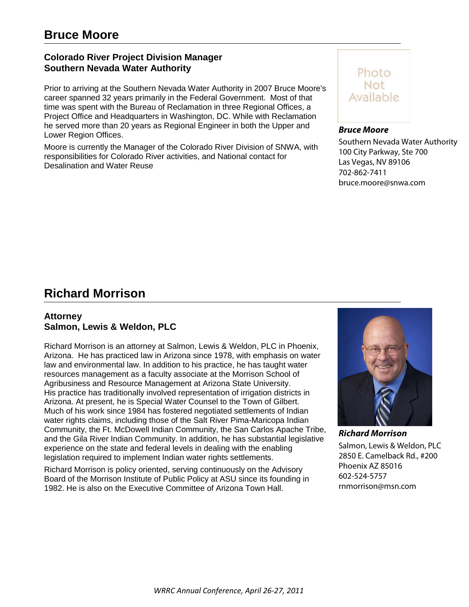### **Colorado River Project Division Manager Southern Nevada Water Authority**

Prior to arriving at the Southern Nevada Water Authority in 2007 Bruce Moore's career spanned 32 years primarily in the Federal Government. Most of that time was spent with the Bureau of Reclamation in three Regional Offices, a Project Office and Headquarters in Washington, DC. While with Reclamation he served more than 20 years as Regional Engineer in both the Upper and Lower Region Offices.

Moore is currently the Manager of the Colorado River Division of SNWA, with responsibilities for Colorado River activities, and National contact for Desalination and Water Reuse



#### *Bruce Moore*

Southern Nevada Water Authority 100 City Parkway, Ste 700 Las Vegas, NV 89106 702-862-7411 bruce.moore@snwa.com

## **Richard Morrison**

### **Attorney Salmon, Lewis & Weldon, PLC**

Richard Morrison is an attorney at Salmon, Lewis & Weldon, PLC in Phoenix, Arizona. He has practiced law in Arizona since 1978, with emphasis on water law and environmental law. In addition to his practice, he has taught water resources management as a faculty associate at the Morrison School of Agribusiness and Resource Management at Arizona State University. His practice has traditionally involved representation of irrigation districts in Arizona. At present, he is Special Water Counsel to the Town of Gilbert. Much of his work since 1984 has fostered negotiated settlements of Indian water rights claims, including those of the Salt River Pima-Maricopa Indian Community, the Ft. McDowell Indian Community, the San Carlos Apache Tribe, and the Gila River Indian Community. In addition, he has substantial legislative experience on the state and federal levels in dealing with the enabling legislation required to implement Indian water rights settlements.

Richard Morrison is policy oriented, serving continuously on the Advisory Board of the Morrison Institute of Public Policy at ASU since its founding in 1982. He is also on the Executive Committee of Arizona Town Hall.



Salmon, Lewis & Weldon, PLC 2850 E. Camelback Rd., #200 Phoenix AZ 85016 602-524-5757 rnmorrison@msn.com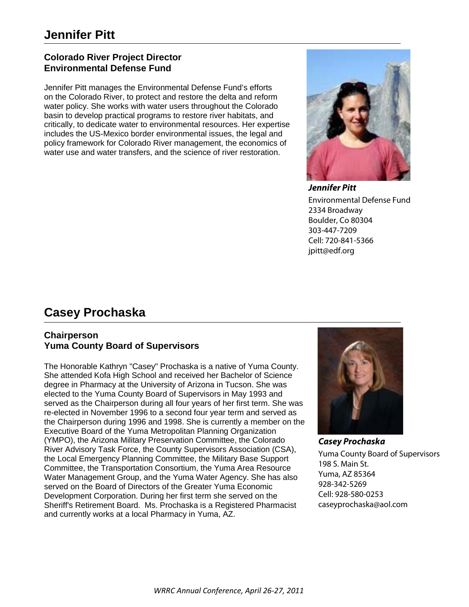### **Colorado River Project Director Environmental Defense Fund**

Jennifer Pitt manages the Environmental Defense Fund's efforts on the Colorado River, to protect and restore the delta and reform water policy. She works with water users throughout the Colorado basin to develop practical programs to restore river habitats, and critically, to dedicate water to environmental resources. Her expertise includes the US-Mexico border environmental issues, the legal and policy framework for Colorado River management, the economics of water use and water transfers, and the science of river restoration.



*Jennifer Pitt* Environmental Defense Fund 2334 Broadway Boulder, Co 80304 303-447-7209 Cell: 720-841-5366 jpitt@edf.org

# **Casey Prochaska**

### **Chairperson Yuma County Board of Supervisors**

The Honorable Kathryn "Casey" Prochaska is a native of Yuma County. She attended Kofa High School and received her Bachelor of Science degree in Pharmacy at the University of Arizona in Tucson. She was elected to the Yuma County Board of Supervisors in May 1993 and served as the Chairperson during all four years of her first term. She was re-elected in November 1996 to a second four year term and served as the Chairperson during 1996 and 1998. She is currently a member on the Executive Board of the Yuma Metropolitan Planning Organization (YMPO), the Arizona Military Preservation Committee, the Colorado River Advisory Task Force, the County Supervisors Association (CSA), the Local Emergency Planning Committee, the Military Base Support Committee, the Transportation Consortium, the Yuma Area Resource Water Management Group, and the Yuma Water Agency. She has also served on the Board of Directors of the Greater Yuma Economic Development Corporation. During her first term she served on the Sheriff's Retirement Board. Ms. Prochaska is a Registered Pharmacist and currently works at a local Pharmacy in Yuma, AZ.



*Casey Prochaska* Yuma County Board of Supervisors 198 S. Main St. Yuma, AZ 85364 928-342-5269 Cell: 928-580-0253 caseyprochaska@aol.com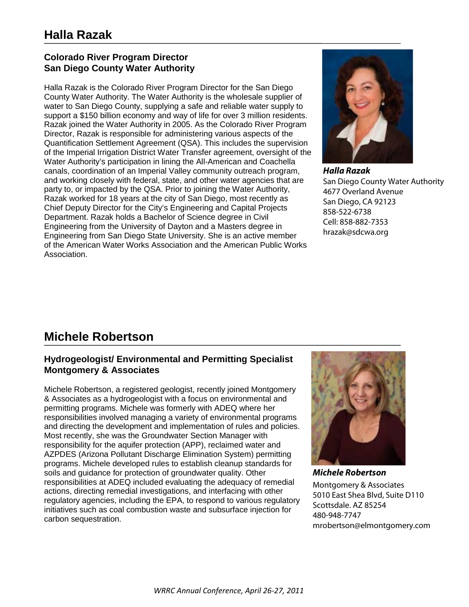### **Colorado River Program Director San Diego County Water Authority**

Halla Razak is the Colorado River Program Director for the San Diego County Water Authority. The Water Authority is the wholesale supplier of water to San Diego County, supplying a safe and reliable water supply to support a \$150 billion economy and way of life for over 3 million residents. Razak joined the Water Authority in 2005. As the Colorado River Program Director, Razak is responsible for administering various aspects of the Quantification Settlement Agreement (QSA). This includes the supervision of the Imperial Irrigation District Water Transfer agreement, oversight of the Water Authority's participation in lining the All-American and Coachella canals, coordination of an Imperial Valley community outreach program, and working closely with federal, state, and other water agencies that are party to, or impacted by the QSA. Prior to joining the Water Authority, Razak worked for 18 years at the city of San Diego, most recently as Chief Deputy Director for the City's Engineering and Capital Projects Department. Razak holds a Bachelor of Science degree in Civil Engineering from the University of Dayton and a Masters degree in Engineering from San Diego State University. She is an active member of the American Water Works Association and the American Public Works Association.



*Halla Razak* San Diego County Water Authority 4677 Overland Avenue San Diego, CA 92123 858-522-6738 Cell: 858-882-7353 hrazak@sdcwa.org

# **Michele Robertson**

### **Hydrogeologist/ Environmental and Permitting Specialist Montgomery & Associates**

Michele Robertson, a registered geologist, recently joined Montgomery & Associates as a hydrogeologist with a focus on environmental and permitting programs. Michele was formerly with ADEQ where her responsibilities involved managing a variety of environmental programs and directing the development and implementation of rules and policies. Most recently, she was the Groundwater Section Manager with responsibility for the aquifer protection (APP), reclaimed water and AZPDES (Arizona Pollutant Discharge Elimination System) permitting programs. Michele developed rules to establish cleanup standards for soils and guidance for protection of groundwater quality. Other responsibilities at ADEQ included evaluating the adequacy of remedial actions, directing remedial investigations, and interfacing with other regulatory agencies, including the EPA, to respond to various regulatory initiatives such as coal combustion waste and subsurface injection for carbon sequestration.



*Michele Robertson* Montgomery & Associates 5010 East Shea Blvd, Suite D110 Scottsdale. AZ 85254 480-948-7747 mrobertson@elmontgomery.com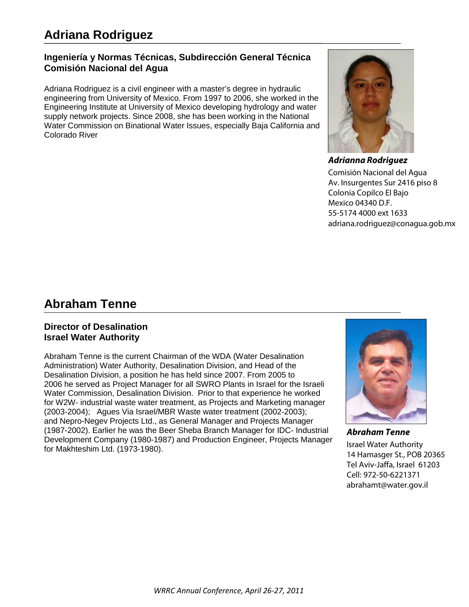## **Adriana Rodriguez**

### **Ingeniería y Normas Técnicas, Subdirección General Técnica Comisión Nacional del Agua**

Adriana Rodriguez is a civil engineer with a master's degree in hydraulic engineering from University of Mexico. From 1997 to 2006, she worked in the Engineering Institute at University of Mexico developing hydrology and water supply network projects. Since 2008, she has been working in the National Water Commission on Binational Water Issues, especially Baja California and Colorado River



*Adrianna Rodriguez* Comisión Nacional del Agua Av. Insurgentes Sur 2416 piso 8 Colonia Copilco El Bajo Mexico 04340 D.F. 55-5174 4000 ext 1633 adriana.rodriguez@conagua.gob.mx

### **Abraham Tenne**

### **Director of Desalination Israel Water Authority**

Abraham Tenne is the current Chairman of the WDA (Water Desalination Administration) Water Authority, Desalination Division, and Head of the Desalination Division, a position he has held since 2007. From 2005 to 2006 he served as Project Manager for all SWRO Plants in Israel for the Israeli Water Commission, Desalination Division. Prior to that experience he worked for W2W- industrial waste water treatment, as Projects and Marketing manager (2003-2004); Agues Via Israel/MBR Waste water treatment (2002-2003); and Nepro-Negev Projects Ltd., as General Manager and Projects Manager (1987-2002). Earlier he was the Beer Sheba Branch Manager for IDC- Industrial Development Company (1980-1987) and Production Engineer, Projects Manager for Makhteshim Ltd. (1973-1980).



*Abraham Tenne* Israel Water Authority 14 Hamasger St., POB 20365 Tel Aviv-Jaffa, Israel 61203 Cell: 972-50-6221371 abrahamt@water.gov.il